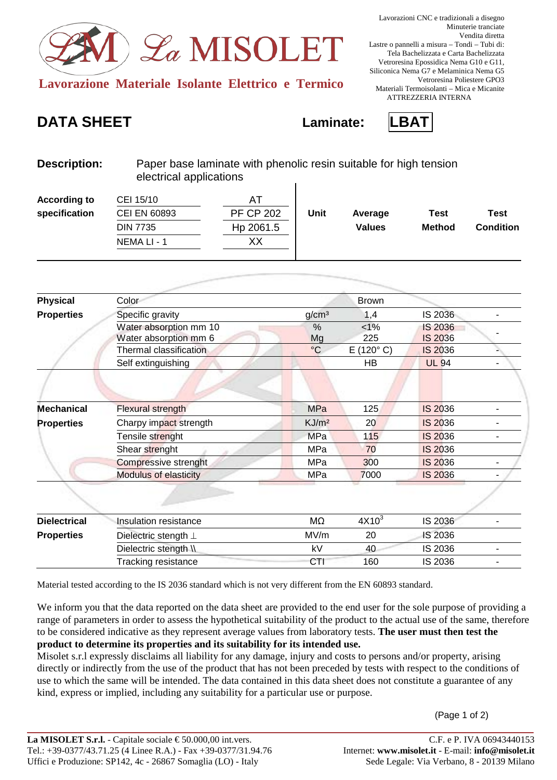

## **DATA SHEET Laminate: LBAT**



| <b>Description:</b> |            | Paper base laminate with phenolic resin suitable for high tension<br>electrical applications |  |  |  |
|---------------------|------------|----------------------------------------------------------------------------------------------|--|--|--|
| According to        | C E1 4E/4D |                                                                                              |  |  |  |

| <b>According to</b> | CEI 15/10           |                  |      |               |               |                  |
|---------------------|---------------------|------------------|------|---------------|---------------|------------------|
| specification       | <b>CEI EN 60893</b> | <b>PF CP 202</b> | Unit | Average       | Test          | Test             |
|                     | <b>DIN 7735</b>     | Hp 2061.5        |      | <b>Values</b> | <b>Method</b> | <b>Condition</b> |
|                     | NEMA LI - 1         | XХ               |      |               |               |                  |
|                     |                     |                  |      |               |               |                  |

| <b>Physical</b>     | Color                                           |                   | <b>Brown</b>       |                                  |  |
|---------------------|-------------------------------------------------|-------------------|--------------------|----------------------------------|--|
| <b>Properties</b>   | Specific gravity                                | g/cm <sup>3</sup> | 1,4                | IS 2036                          |  |
|                     | Water absorption mm 10<br>Water absorption mm 6 | $\%$<br>Mg        | $< 1\%$<br>225     | <b>IS 2036</b><br><b>IS 2036</b> |  |
|                     | Thermal classification                          | $\rm ^{\circ}C$   | $E(120^{\circ} C)$ | IS 2036                          |  |
|                     | Self extinguishing                              |                   | HB                 | <b>UL 94</b>                     |  |
|                     |                                                 |                   |                    |                                  |  |
| <b>Mechanical</b>   | <b>Flexural strength</b>                        | <b>MPa</b>        | 125                | <b>IS 2036</b>                   |  |
| <b>Properties</b>   | Charpy impact strength                          | KJ/m <sup>2</sup> | 20                 | <b>IS 2036</b>                   |  |
|                     | Tensile strenght                                | <b>MPa</b>        | 115                | <b>IS 2036</b>                   |  |
|                     | Shear strenght                                  | MPa               | 70                 | <b>IS 2036</b>                   |  |
|                     | Compressive strenght                            | MPa               | 300                | <b>IS 2036</b>                   |  |
|                     | <b>Modulus of elasticity</b>                    | MPa               | 7000               | <b>IS 2036</b>                   |  |
|                     |                                                 |                   |                    |                                  |  |
| <b>Dielectrical</b> | Insulation resistance                           | MΩ                | $4X10^3$           | IS 2036                          |  |
| <b>Properties</b>   | Dielectric stength $\perp$                      | MV/m              | 20                 | <b>IS 2036</b>                   |  |
|                     | Dielectric stength \\                           | kV                | 40                 | IS 2036                          |  |
|                     | <b>Tracking resistance</b>                      | CTI               | 160                | IS 2036                          |  |

Material tested according to the IS 2036 standard which is not very different from the EN 60893 standard.

We inform you that the data reported on the data sheet are provided to the end user for the sole purpose of providing a range of parameters in order to assess the hypothetical suitability of the product to the actual use of the same, therefore to be considered indicative as they represent average values from laboratory tests. **The user must then test the product to determine its properties and its suitability for its intended use.**

Misolet s.r.l expressly disclaims all liability for any damage, injury and costs to persons and/or property, arising directly or indirectly from the use of the product that has not been preceded by tests with respect to the conditions of use to which the same will be intended. The data contained in this data sheet does not constitute a guarantee of any kind, express or implied, including any suitability for a particular use or purpose.

(Page 1 of 2)